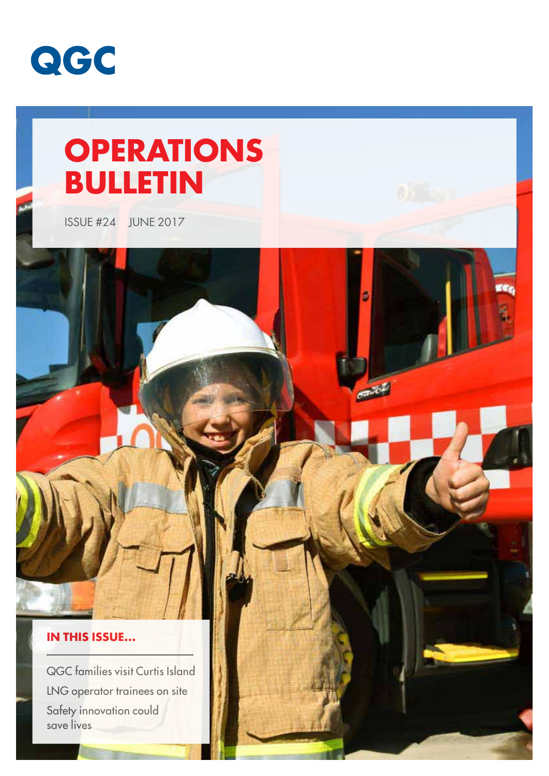

# **OPERATIONS BULLETIN**

**Carlos** 

ISSUE #24 JUNE 2017

### **IN THIS ISSUE...**

QGC families visit Curtis Island LNG operator trainees on site Safety innovation could save lives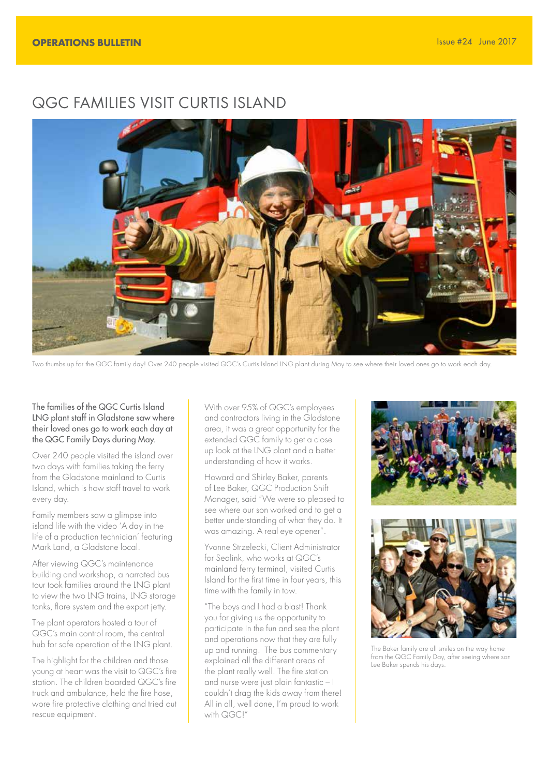## QGC FAMILIES VISIT CURTIS ISLAND



Two thumbs up for the QGC family day! Over 240 people visited QGC's Curtis Island LNG plant during May to see where their loved ones go to work each day.

#### The families of the QGC Curtis Island LNG plant staff in Gladstone saw where their loved ones go to work each day at the QGC Family Days during May.

Over 240 people visited the island over two days with families taking the ferry from the Gladstone mainland to Curtis Island, which is how staff travel to work every day.

Family members saw a glimpse into island life with the video 'A day in the life of a production technician' featuring Mark Land, a Gladstone local.

After viewing QGC's maintenance building and workshop, a narrated bus tour took families around the LNG plant to view the two LNG trains, LNG storage tanks, flare system and the export jetty.

The plant operators hosted a tour of QGC's main control room, the central hub for safe operation of the LNG plant.

The highlight for the children and those young at heart was the visit to QGC's fire station. The children boarded QGC's fire truck and ambulance, held the fire hose, wore fire protective clothing and tried out rescue equipment.

With over 95% of QGC's employees and contractors living in the Gladstone area, it was a great opportunity for the extended QGC family to get a close up look at the LNG plant and a better understanding of how it works.

Howard and Shirley Baker, parents of Lee Baker, QGC Production Shift Manager, said "We were so pleased to see where our son worked and to get a better understanding of what they do. It was amazing. A real eye opener".

Yvonne Strzelecki, Client Administrator for Sealink, who works at QGC's mainland ferry terminal, visited Curtis Island for the first time in four years, this time with the family in tow.

"The boys and I had a blast! Thank you for giving us the opportunity to participate in the fun and see the plant and operations now that they are fully up and running. The bus commentary explained all the different areas of the plant really well. The fire station and nurse were just plain fantastic – I couldn't drag the kids away from there! All in all, well done, I'm proud to work with QGC!"





The Baker family are all smiles on the way home from the QGC Family Day, after seeing where son Lee Baker spends his days.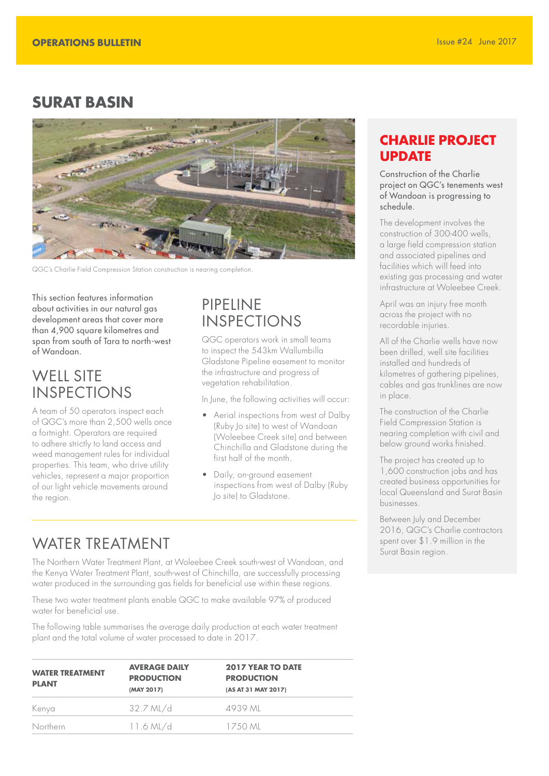## **SURAT BASIN**



QGC's Charlie Field Compression Station construction is nearing completion.

This section features information about activities in our natural gas development areas that cover more than 4,900 square kilometres and span from south of Tara to north-west of Wandoan.

## WELL SITE INSPECTIONS

A team of 50 operators inspect each of QGC's more than 2,500 wells once a fortnight. Operators are required to adhere strictly to land access and weed management rules for individual properties. This team, who drive utility vehicles, represent a major proportion of our light vehicle movements around the region.

## PIPELINE INSPECTIONS

QGC operators work in small teams to inspect the 543km Wallumbilla Gladstone Pipeline easement to monitor the infrastructure and progress of vegetation rehabilitation.

In June, the following activities will occur:

- Aerial inspections from west of Dalby (Ruby Jo site) to west of Wandoan (Woleebee Creek site) and between Chinchilla and Gladstone during the first half of the month.
- Daily, on-ground easement inspections from west of Dalby (Ruby Jo site) to Gladstone.

## WATER TREATMENT Spent over \$1.9 million in the Surat Basin region.

The Northern Water Treatment Plant, at Woleebee Creek south-west of Wandoan, and the Kenya Water Treatment Plant, south-west of Chinchilla, are successfully processing water produced in the surrounding gas fields for beneficial use within these regions.

These two water treatment plants enable QGC to make available 97% of produced water for beneficial use.

The following table summarises the average daily production at each water treatment plant and the total volume of water processed to date in 2017.

| <b>WATER TREATMENT</b><br><b>PLANT</b> | <b>AVERAGE DAILY</b><br><b>PRODUCTION</b><br>(MAY 2017) | <b>2017 YEAR TO DATE</b><br><b>PRODUCTION</b><br>(AS AT 31 MAY 2017) |  |
|----------------------------------------|---------------------------------------------------------|----------------------------------------------------------------------|--|
| Kenya                                  | $32.7$ ML/d                                             | 4939 ML                                                              |  |
| Northern                               | $11.6$ ML/d                                             | 17.50 ML                                                             |  |

## **CHARLIE PROJECT UPDATE**

Construction of the Charlie project on QGC's tenements west of Wandoan is progressing to schedule.

The development involves the construction of 300-400 wells, a large field compression station and associated pipelines and facilities which will feed into existing gas processing and water infrastructure at Woleebee Creek.

April was an injury free month across the project with no recordable injuries.

All of the Charlie wells have now been drilled, well site facilities installed and hundreds of kilometres of gathering pipelines, cables and gas trunklines are now in place.

The construction of the Charlie Field Compression Station is nearing completion with civil and below ground works finished.

The project has created up to 1,600 construction jobs and has created business opportunities for local Queensland and Surat Basin businesses.

Between July and December 2016, QGC's Charlie contractors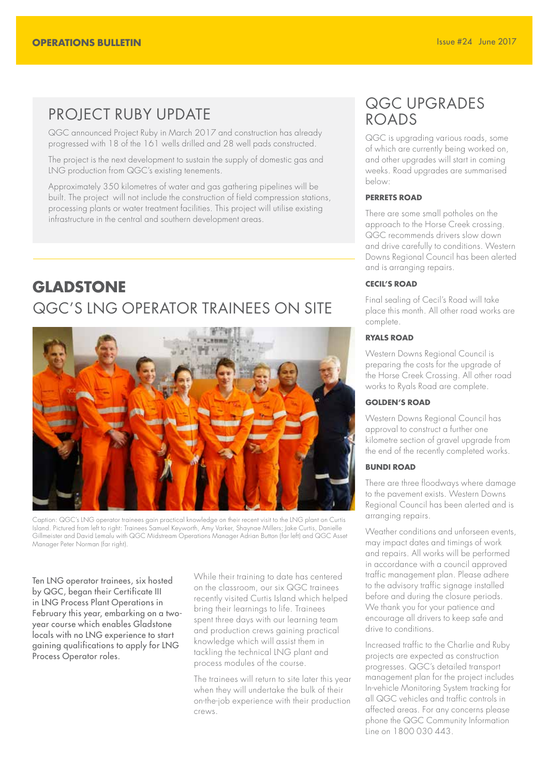## PROJECT RUBY UPDATE

QGC announced Project Ruby in March 2017 and construction has already progressed with 18 of the 161 wells drilled and 28 well pads constructed.

The project is the next development to sustain the supply of domestic gas and LNG production from QGC's existing tenements.

Approximately 350 kilometres of water and gas gathering pipelines will be built. The project will not include the construction of field compression stations, processing plants or water treatment facilities. This project will utilise existing infrastructure in the central and southern development areas.

## **GLADSTONE** QGC'S LNG OPERATOR TRAINEES ON SITE



Caption: QGC's LNG operator trainees gain practical knowledge on their recent visit to the LNG plant on Curtis Island. Pictured from left to right: Trainees Samuel Keyworth, Amy Varker, Shaynae Millers; Jake Curtis, Danielle Gillmeister and David Lemalu with QGC Midstream Operations Manager Adrian Button (far left) and QGC Asset Manager Peter Norman (far right).

Ten LNG operator trainees, six hosted by QGC, began their Certificate III in LNG Process Plant Operations in February this year, embarking on a twoyear course which enables Gladstone locals with no LNG experience to start gaining qualifications to apply for LNG Process Operator roles.

While their training to date has centered on the classroom, our six QGC trainees recently visited Curtis Island which helped bring their learnings to life. Trainees spent three days with our learning team and production crews gaining practical knowledge which will assist them in tackling the technical LNG plant and process modules of the course.

The trainees will return to site later this year when they will undertake the bulk of their on-the-job experience with their production crews.

## QGC UPGRADES ROADS

QGC is upgrading various roads, some of which are currently being worked on, and other upgrades will start in coming weeks. Road upgrades are summarised below:

#### **PERRETS ROAD**

There are some small potholes on the approach to the Horse Creek crossing. QGC recommends drivers slow down and drive carefully to conditions. Western Downs Regional Council has been alerted and is arranging repairs.

#### **CECIL'S ROAD**

Final sealing of Cecil's Road will take place this month. All other road works are complete.

#### **RYALS ROAD**

Western Downs Regional Council is preparing the costs for the upgrade of the Horse Creek Crossing. All other road works to Ryals Road are complete.

#### **GOLDEN'S ROAD**

Western Downs Regional Council has approval to construct a further one kilometre section of gravel upgrade from the end of the recently completed works.

#### **BUNDI ROAD**

There are three floodways where damage to the pavement exists. Western Downs Regional Council has been alerted and is arranging repairs.

Weather conditions and unforseen events, may impact dates and timings of work and repairs. All works will be performed in accordance with a council approved traffic management plan. Please adhere to the advisory traffic signage installed before and during the closure periods. We thank you for your patience and encourage all drivers to keep safe and drive to conditions.

Increased traffic to the Charlie and Ruby projects are expected as construction progresses. QGC's detailed transport management plan for the project includes In-vehicle Monitoring System tracking for all QGC vehicles and traffic controls in affected areas. For any concerns please phone the QGC Community Information Line on 1800 030 443.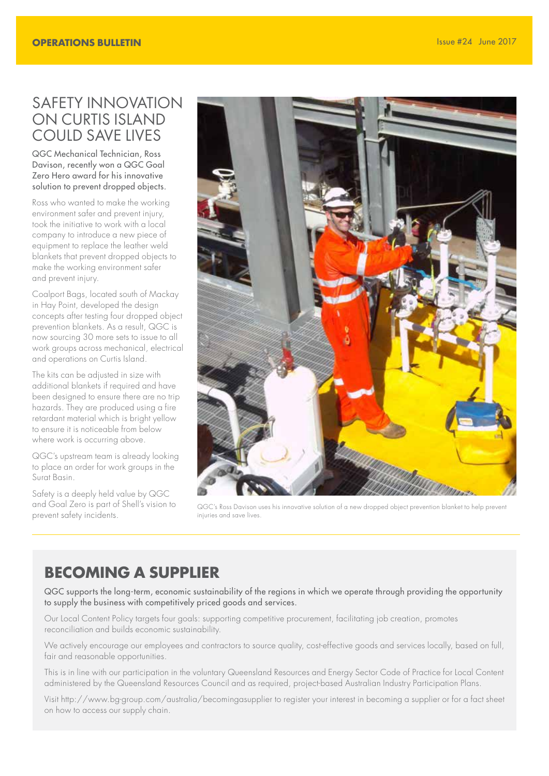## SAFETY INNOVATION ON CURTIS ISLAND COULD SAVE LIVES

QGC Mechanical Technician, Ross Davison, recently won a QGC Goal Zero Hero award for his innovative solution to prevent dropped objects.

Ross who wanted to make the working environment safer and prevent injury, took the initiative to work with a local company to introduce a new piece of equipment to replace the leather weld blankets that prevent dropped objects to make the working environment safer and prevent injury.

Coalport Bags, located south of Mackay in Hay Point, developed the design concepts after testing four dropped object prevention blankets. As a result, QGC is now sourcing 30 more sets to issue to all work groups across mechanical, electrical and operations on Curtis Island.

The kits can be adjusted in size with additional blankets if required and have been designed to ensure there are no trip hazards. They are produced using a fire retardant material which is bright yellow to ensure it is noticeable from below where work is occurring above.

QGC's upstream team is already looking to place an order for work groups in the Surat Basin.

Safety is a deeply held value by QGC and Goal Zero is part of Shell's vision to prevent safety incidents.



QGC's Ross Davison uses his innovative solution of a new dropped object prevention blanket to help prevent injuries and save lives.

## **BECOMING A SUPPLIER**

QGC supports the long-term, economic sustainability of the regions in which we operate through providing the opportunity to supply the business with competitively priced goods and services.

Our Local Content Policy targets four goals: supporting competitive procurement, facilitating job creation, promotes reconciliation and builds economic sustainability.

We actively encourage our employees and contractors to source quality, cost-effective goods and services locally, based on full, fair and reasonable opportunities.

This is in line with our participation in the voluntary Queensland Resources and Energy Sector Code of Practice for Local Content administered by the Queensland Resources Council and as required, project-based Australian Industry Participation Plans.

Visit http://www.bg-group.com/australia/becomingasupplier to register your interest in becoming a supplier or for a fact sheet on how to access our supply chain.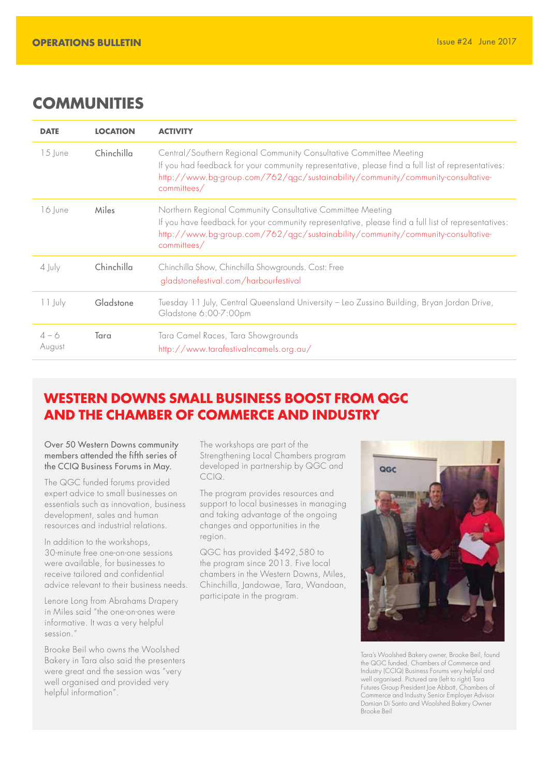## **COMMUNITIES**

| <b>DATE</b>       | <b>LOCATION</b> | <b>ACTIVITY</b>                                                                                                                                                                                                                                                            |  |
|-------------------|-----------------|----------------------------------------------------------------------------------------------------------------------------------------------------------------------------------------------------------------------------------------------------------------------------|--|
| $15$ lune         | Chinchilla      | Central/Southern Regional Community Consultative Committee Meeting<br>If you had feedback for your community representative, please find a full list of representatives:<br>http://www.bg-group.com/762/qgc/sustainability/community/community-consultative-<br>commities/ |  |
| 16 June           | <b>Miles</b>    | Northern Regional Community Consultative Committee Meeting<br>If you have feedback for your community representative, please find a full list of representatives:<br>http://www.bg-group.com/762/qgc/sustainability/community/community-consultative-<br>commities/        |  |
| $4$ July          | Chinchilla      | Chinchilla Show, Chinchilla Showgrounds. Cost: Free<br>gladstonefestival.com/harbourfestival                                                                                                                                                                               |  |
| 11 July           | Gladstone       | Tuesday 11 July, Central Queensland University - Leo Zussino Building, Bryan Jordan Drive,<br>Gladstone 6:00-7:00pm                                                                                                                                                        |  |
| $4 - 6$<br>August | Tara            | Tara Camel Races, Tara Showgrounds<br>http://www.tarafestivalncamels.org.au/                                                                                                                                                                                               |  |

## **WESTERN DOWNS SMALL BUSINESS BOOST FROM QGC AND THE CHAMBER OF COMMERCE AND INDUSTRY**

#### Over 50 Western Downs community members attended the fifth series of the CCIQ Business Forums in May.

The QGC funded forums provided expert advice to small businesses on essentials such as innovation, business development, sales and human resources and industrial relations.

In addition to the workshops, 30-minute free one-on-one sessions were available, for businesses to receive tailored and confidential advice relevant to their business needs.

Lenore Long from Abrahams Drapery in Miles said "the one-on-ones were informative. It was a very helpful session."

Brooke Beil who owns the Woolshed Bakery in Tara also said the presenters were great and the session was "very well organised and provided very helpful information".

The workshops are part of the Strengthening Local Chambers program developed in partnership by QGC and CCIQ.

The program provides resources and support to local businesses in managing and taking advantage of the ongoing changes and opportunities in the region.

QGC has provided \$492,580 to the program since 2013. Five local chambers in the Western Downs, Miles, Chinchilla, Jandowae, Tara, Wandoan, participate in the program.



Tara's Woolshed Bakery owner, Brooke Beil, found the QGC funded, Chambers of Commerce and Industry (CCIQ) Business Forums very helpful and well organised. Pictured are (left to right) Tara Futures Group President Joe Abbott, Chambers of Commerce and Industry Senior Employer Advisor Damian Di Santo and Woolshed Bakery Owner Brooke Beil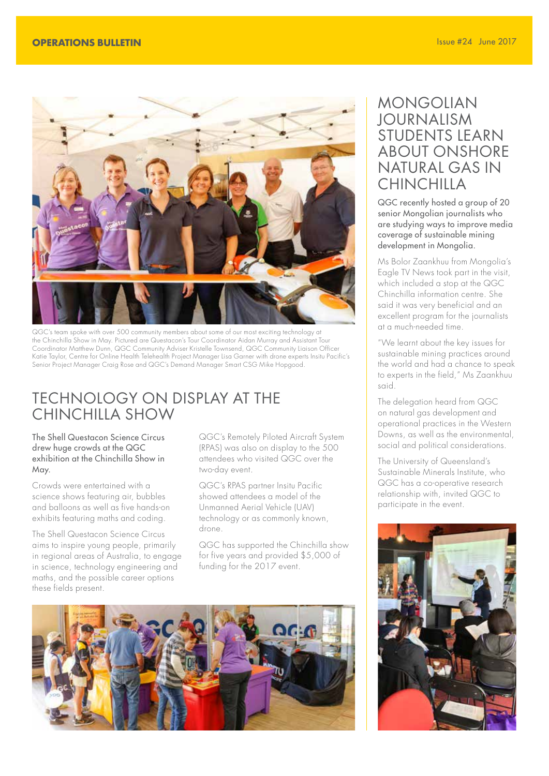

QGC's team spoke with over 500 community members about some of our most exciting technology at the Chinchilla Show in May. Pictured are Questacon's Tour Coordinator Aidan Murray and Assistant Tour Coordinator Matthew Dunn, QGC Community Adviser Kristelle Townsend, QGC Community Liaison Officer Katie Taylor, Centre for Online Health Telehealth Project Manager Lisa Garner with drone experts Insitu Pacific's Senior Project Manager Craig Rose and QGC's Demand Manager Smart CSG Mike Hopgood

## TECHNOLOGY ON DISPLAY AT THE CHINCHILLA SHOW

#### The Shell Questacon Science Circus drew huge crowds at the QGC exhibition at the Chinchilla Show in May.

Crowds were entertained with a science shows featuring air, bubbles and balloons as well as five hands-on exhibits featuring maths and coding.

The Shell Questacon Science Circus aims to inspire young people, primarily in regional areas of Australia, to engage in science, technology engineering and maths, and the possible career options these fields present.

QGC's Remotely Piloted Aircraft System (RPAS) was also on display to the 500 attendees who visited QGC over the two-day event.

QGC's RPAS partner Insitu Pacific showed attendees a model of the Unmanned Aerial Vehicle (UAV) technology or as commonly known, drone.

QGC has supported the Chinchilla show for five years and provided \$5,000 of funding for the 2017 event.



## MONGOLIAN JOURNALISM STUDENTS LEARN ABOUT ONSHORE NATURAL GAS IN **CHINCHILLA**

QGC recently hosted a group of 20 senior Mongolian journalists who are studying ways to improve media coverage of sustainable mining development in Mongolia.

Ms Bolor Zaankhuu from Mongolia's Eagle TV News took part in the visit, which included a stop at the QGC Chinchilla information centre. She said it was very beneficial and an excellent program for the journalists at a much-needed time.

"We learnt about the key issues for sustainable mining practices around the world and had a chance to speak to experts in the field," Ms Zaankhuu said.

The delegation heard from QGC on natural gas development and operational practices in the Western Downs, as well as the environmental, social and political considerations.

The University of Queensland's Sustainable Minerals Institute, who QGC has a co-operative research relationship with, invited QGC to participate in the event.